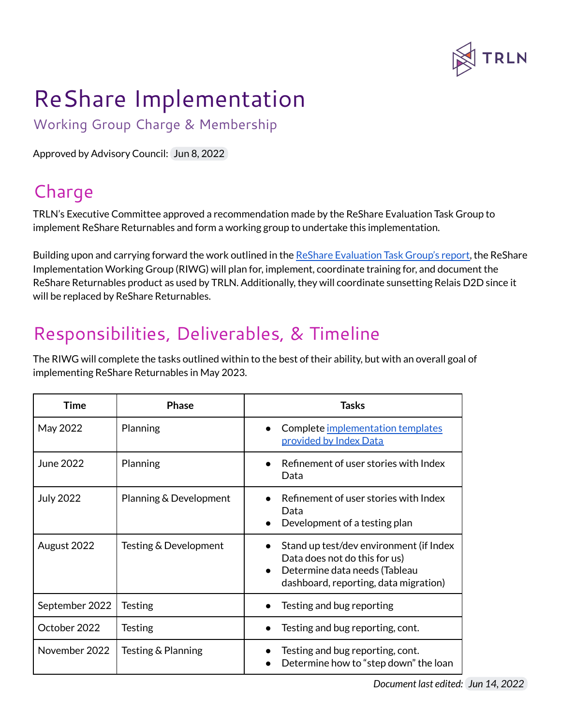

## ReShare Implementation

Working Group Charge & Membership

Approved by Advisory Council: Jun 8, 2022

## Charge

TRLN's Executive Committee approved a recommendation made by the ReShare Evaluation Task Group to implement ReShare Returnables and form a working group to undertake this implementation.

Building upon and carrying forward the work outlined in the ReShare [Evaluation](https://drive.google.com/file/d/1N-RHZcMqgMuPNyqw8tPMOF0tGbyF97lO/view?usp=sharing) Task Group's report, the ReShare Implementation Working Group (RIWG) will plan for, implement, coordinate training for, and document the ReShare Returnables product as used by TRLN. Additionally, they will coordinate sunsetting Relais D2D since it will be replaced by ReShare Returnables.

## Responsibilities, Deliverables, & Timeline

The RIWG will complete the tasks outlined within to the best of their ability, but with an overall goal of implementing ReShare Returnables in May 2023.

| Time             | <b>Phase</b>           | Tasks                                                                                                                                              |
|------------------|------------------------|----------------------------------------------------------------------------------------------------------------------------------------------------|
| May 2022         | Planning               | Complete implementation templates<br>provided by Index Data                                                                                        |
| June 2022        | Planning               | Refinement of user stories with Index<br>Data                                                                                                      |
| <b>July 2022</b> | Planning & Development | Refinement of user stories with Index<br>Data<br>Development of a testing plan                                                                     |
| August 2022      | Testing & Development  | Stand up test/dev environment (if Index<br>Data does not do this for us)<br>Determine data needs (Tableau<br>dashboard, reporting, data migration) |
| September 2022   | Testing                | Testing and bug reporting                                                                                                                          |
| October 2022     | Testing                | Testing and bug reporting, cont.                                                                                                                   |
| November 2022    | Testing & Planning     | Testing and bug reporting, cont.<br>Determine how to "step down" the loan                                                                          |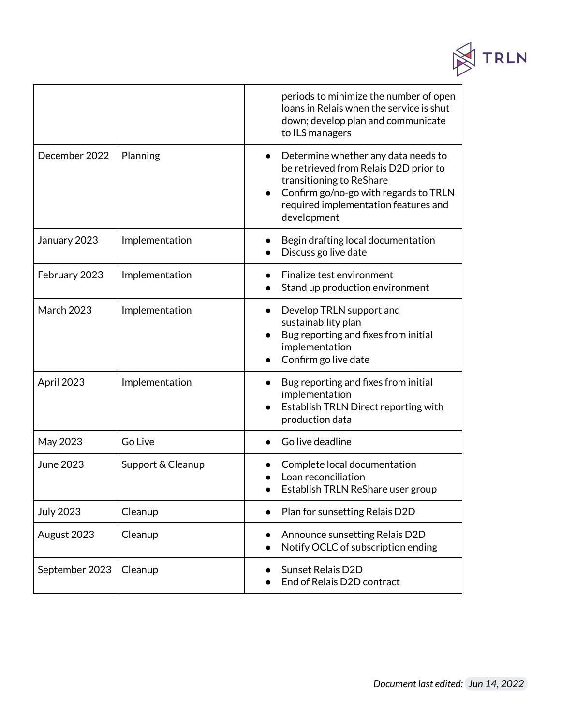

|                   |                   | periods to minimize the number of open<br>loans in Relais when the service is shut<br>down; develop plan and communicate<br>to ILS managers                                                              |
|-------------------|-------------------|----------------------------------------------------------------------------------------------------------------------------------------------------------------------------------------------------------|
| December 2022     | Planning          | Determine whether any data needs to<br>be retrieved from Relais D2D prior to<br>transitioning to ReShare<br>Confirm go/no-go with regards to TRLN<br>required implementation features and<br>development |
| January 2023      | Implementation    | Begin drafting local documentation<br>Discuss go live date                                                                                                                                               |
| February 2023     | Implementation    | Finalize test environment<br>Stand up production environment                                                                                                                                             |
| <b>March 2023</b> | Implementation    | Develop TRLN support and<br>sustainability plan<br>Bug reporting and fixes from initial<br>implementation<br>Confirm go live date                                                                        |
| April 2023        | Implementation    | Bug reporting and fixes from initial<br>implementation<br>Establish TRLN Direct reporting with<br>production data                                                                                        |
| May 2023          | Go Live           | Go live deadline                                                                                                                                                                                         |
| June 2023         | Support & Cleanup | Complete local documentation<br>Loan reconciliation<br>Establish TRLN ReShare user group                                                                                                                 |
| <b>July 2023</b>  | Cleanup           | Plan for sunsetting Relais D2D                                                                                                                                                                           |
| August 2023       | Cleanup           | Announce sunsetting Relais D2D<br>Notify OCLC of subscription ending                                                                                                                                     |
| September 2023    | Cleanup           | <b>Sunset Relais D2D</b><br>End of Relais D2D contract                                                                                                                                                   |